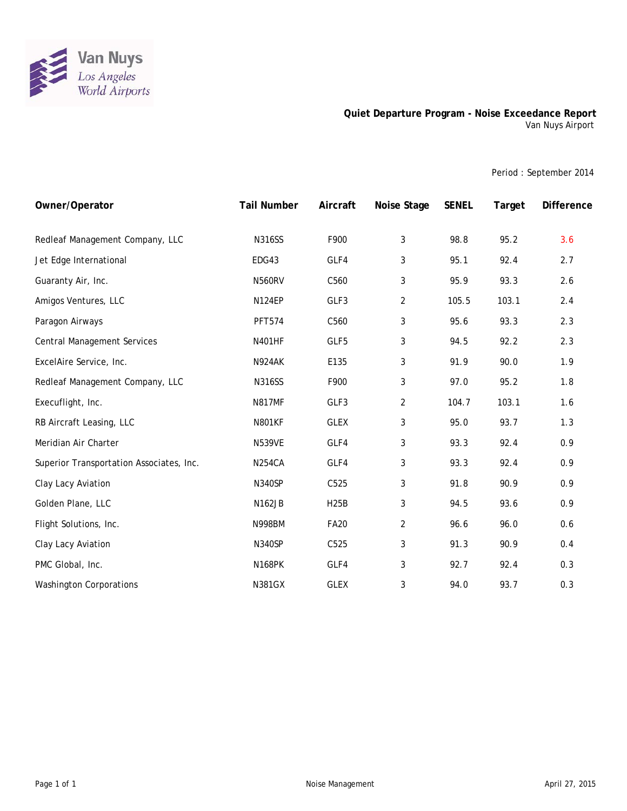

## **Quiet Departure Program - Noise Exceedance Report** Van Nuys Airport

Period : September 2014

| Owner/Operator                           | <b>Tail Number</b> | Aircraft    | Noise Stage    | <b>SENEL</b> | Target | <b>Difference</b> |
|------------------------------------------|--------------------|-------------|----------------|--------------|--------|-------------------|
| Redleaf Management Company, LLC          | <b>N316SS</b>      | F900        | 3              | 98.8         | 95.2   | 3.6               |
| Jet Edge International                   | EDG43              | GLF4        | 3              | 95.1         | 92.4   | 2.7               |
| Guaranty Air, Inc.                       | <b>N560RV</b>      | C560        | 3              | 95.9         | 93.3   | 2.6               |
| Amigos Ventures, LLC                     | <b>N124EP</b>      | GLF3        | $\overline{2}$ | 105.5        | 103.1  | 2.4               |
| Paragon Airways                          | <b>PFT574</b>      | C560        | 3              | 95.6         | 93.3   | 2.3               |
| <b>Central Management Services</b>       | <b>N401HF</b>      | GLF5        | 3              | 94.5         | 92.2   | 2.3               |
| ExcelAire Service, Inc.                  | N924AK             | E135        | 3              | 91.9         | 90.0   | 1.9               |
| Redleaf Management Company, LLC          | <b>N316SS</b>      | F900        | 3              | 97.0         | 95.2   | 1.8               |
| Execuflight, Inc.                        | <b>N817MF</b>      | GLF3        | $\overline{2}$ | 104.7        | 103.1  | 1.6               |
| RB Aircraft Leasing, LLC                 | <b>N801KF</b>      | <b>GLEX</b> | 3              | 95.0         | 93.7   | 1.3               |
| Meridian Air Charter                     | <b>N539VE</b>      | GLF4        | 3              | 93.3         | 92.4   | 0.9               |
| Superior Transportation Associates, Inc. | <b>N254CA</b>      | GLF4        | 3              | 93.3         | 92.4   | 0.9               |
| Clay Lacy Aviation                       | <b>N340SP</b>      | C525        | 3              | 91.8         | 90.9   | 0.9               |
| Golden Plane, LLC                        | <b>N162JB</b>      | <b>H25B</b> | 3              | 94.5         | 93.6   | 0.9               |
| Flight Solutions, Inc.                   | <b>N998BM</b>      | <b>FA20</b> | $\overline{2}$ | 96.6         | 96.0   | 0.6               |
| Clay Lacy Aviation                       | <b>N340SP</b>      | C525        | 3              | 91.3         | 90.9   | 0.4               |
| PMC Global, Inc.                         | <b>N168PK</b>      | GLF4        | 3              | 92.7         | 92.4   | 0.3               |
| <b>Washington Corporations</b>           | <b>N381GX</b>      | <b>GLEX</b> | 3              | 94.0         | 93.7   | 0.3               |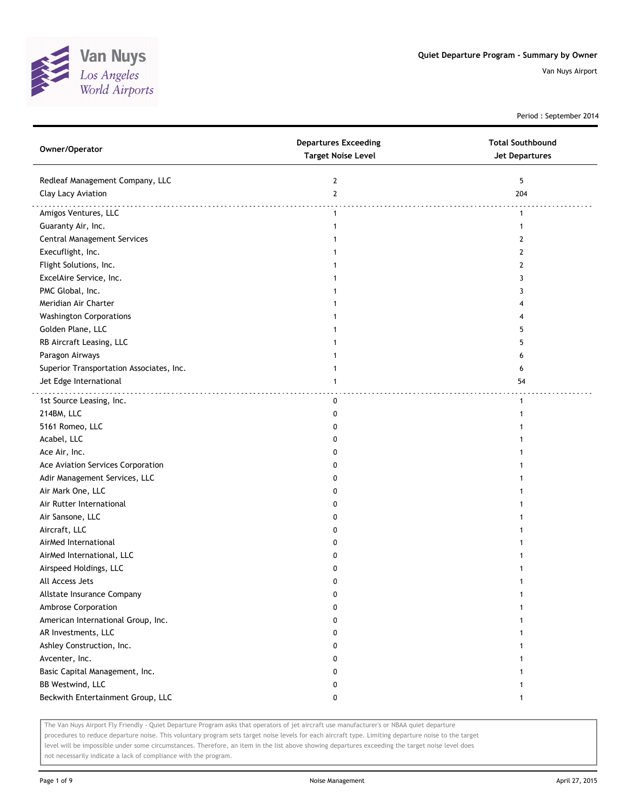

Period : September 2014

| Owner/Operator                           | <b>Departures Exceeding</b><br><b>Target Noise Level</b> | <b>Total Southbound</b><br><b>Jet Departures</b> |
|------------------------------------------|----------------------------------------------------------|--------------------------------------------------|
| Redleaf Management Company, LLC          | $\overline{2}$                                           | 5                                                |
| Clay Lacy Aviation                       | $\mathbf{2}$                                             | 204                                              |
| Amigos Ventures, LLC                     | $\mathbf{1}$                                             | $\mathbf{1}$                                     |
| Guaranty Air, Inc.                       | 1                                                        | -1                                               |
| <b>Central Management Services</b>       |                                                          | 2                                                |
| Execuflight, Inc.                        |                                                          | 2                                                |
| Flight Solutions, Inc.                   |                                                          | 2                                                |
| ExcelAire Service, Inc.                  |                                                          | 3                                                |
| PMC Global, Inc.                         |                                                          | 3                                                |
| Meridian Air Charter                     |                                                          |                                                  |
| <b>Washington Corporations</b>           |                                                          |                                                  |
| Golden Plane, LLC                        |                                                          | 5.                                               |
| RB Aircraft Leasing, LLC                 |                                                          | 5                                                |
| Paragon Airways                          |                                                          | 6                                                |
| Superior Transportation Associates, Inc. | 1                                                        | 6                                                |
| Jet Edge International                   | 1                                                        | 54                                               |
|                                          |                                                          |                                                  |
| 1st Source Leasing, Inc.                 | 0                                                        | $\mathbf{1}$                                     |
| 214BM, LLC                               | 0                                                        |                                                  |
| 5161 Romeo, LLC                          | 0                                                        |                                                  |
| Acabel, LLC                              | 0                                                        |                                                  |
| Ace Air, Inc.                            | 0                                                        |                                                  |
| Ace Aviation Services Corporation        | 0                                                        |                                                  |
| Adir Management Services, LLC            | 0                                                        |                                                  |
| Air Mark One, LLC                        | 0                                                        |                                                  |
| Air Rutter International                 | 0                                                        |                                                  |
| Air Sansone, LLC                         | 0                                                        |                                                  |
| Aircraft, LLC                            | 0                                                        |                                                  |
| AirMed International                     | 0                                                        |                                                  |
| AirMed International, LLC                | 0                                                        |                                                  |
| Airspeed Holdings, LLC                   | 0                                                        |                                                  |
| All Access Jets                          | 0                                                        |                                                  |
| Allstate Insurance Company               | 0                                                        |                                                  |
| Ambrose Corporation                      | 0                                                        |                                                  |
| American International Group, Inc.       | 0                                                        |                                                  |
| AR Investments, LLC                      | 0                                                        |                                                  |
| Ashley Construction, Inc.                | 0                                                        |                                                  |
| Avcenter, Inc.                           | 0                                                        |                                                  |
| Basic Capital Management, Inc.           | 0                                                        |                                                  |
| BB Westwind, LLC                         | 0                                                        |                                                  |
| Beckwith Entertainment Group, LLC        | 0                                                        | -1                                               |

The Van Nuys Airport Fly Friendly - Quiet Departure Program asks that operators of jet aircraft use manufacturer's or NBAA quiet departure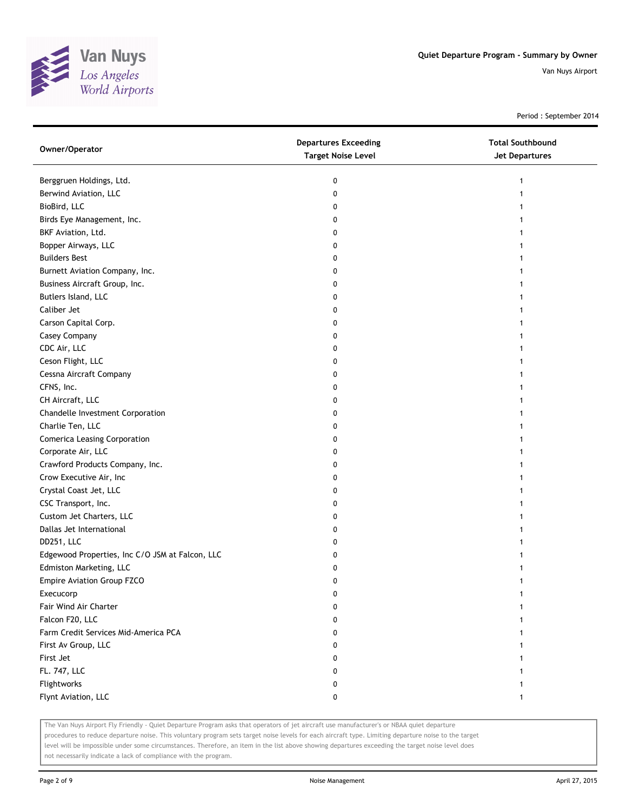

Period : September 2014

| Owner/Operator                                  | <b>Departures Exceeding</b><br><b>Target Noise Level</b> | <b>Total Southbound</b><br><b>Jet Departures</b> |
|-------------------------------------------------|----------------------------------------------------------|--------------------------------------------------|
| Berggruen Holdings, Ltd.                        | 0                                                        | 1                                                |
| Berwind Aviation, LLC                           | 0                                                        |                                                  |
| BioBird, LLC                                    | 0                                                        |                                                  |
| Birds Eye Management, Inc.                      | 0                                                        |                                                  |
| BKF Aviation, Ltd.                              | 0                                                        |                                                  |
| Bopper Airways, LLC                             | 0                                                        | 1                                                |
| <b>Builders Best</b>                            | 0                                                        | 1                                                |
| Burnett Aviation Company, Inc.                  | 0                                                        |                                                  |
| Business Aircraft Group, Inc.                   | 0                                                        |                                                  |
| Butlers Island, LLC                             | 0                                                        |                                                  |
| Caliber Jet                                     | 0                                                        |                                                  |
| Carson Capital Corp.                            | 0                                                        |                                                  |
| Casey Company                                   | 0                                                        |                                                  |
| CDC Air, LLC                                    | 0                                                        |                                                  |
| Ceson Flight, LLC                               | 0                                                        |                                                  |
| Cessna Aircraft Company                         | 0                                                        |                                                  |
| CFNS, Inc.                                      | 0                                                        |                                                  |
| CH Aircraft, LLC                                | 0                                                        |                                                  |
| Chandelle Investment Corporation                | 0                                                        |                                                  |
| Charlie Ten, LLC                                | 0                                                        |                                                  |
| <b>Comerica Leasing Corporation</b>             | 0                                                        |                                                  |
| Corporate Air, LLC                              | 0                                                        |                                                  |
| Crawford Products Company, Inc.                 | 0                                                        |                                                  |
| Crow Executive Air, Inc                         | 0                                                        |                                                  |
| Crystal Coast Jet, LLC                          | 0                                                        |                                                  |
| CSC Transport, Inc.                             | 0                                                        | 1                                                |
| Custom Jet Charters, LLC                        | 0                                                        |                                                  |
| Dallas Jet International                        | 0                                                        |                                                  |
| DD251, LLC                                      | 0                                                        |                                                  |
| Edgewood Properties, Inc C/O JSM at Falcon, LLC | 0                                                        |                                                  |
| Edmiston Marketing, LLC                         | 0                                                        |                                                  |
| Empire Aviation Group FZCO                      | 0                                                        |                                                  |
| Execucorp                                       | 0                                                        |                                                  |
| Fair Wind Air Charter                           | 0                                                        |                                                  |
| Falcon F20, LLC                                 | 0                                                        |                                                  |
| Farm Credit Services Mid-America PCA            | 0                                                        |                                                  |
| First Av Group, LLC                             | 0                                                        |                                                  |
| First Jet                                       | 0                                                        |                                                  |
| FL. 747, LLC                                    | 0                                                        |                                                  |
| Flightworks                                     | 0                                                        |                                                  |
| Flynt Aviation, LLC                             | 0                                                        | 1                                                |

The Van Nuys Airport Fly Friendly - Quiet Departure Program asks that operators of jet aircraft use manufacturer's or NBAA quiet departure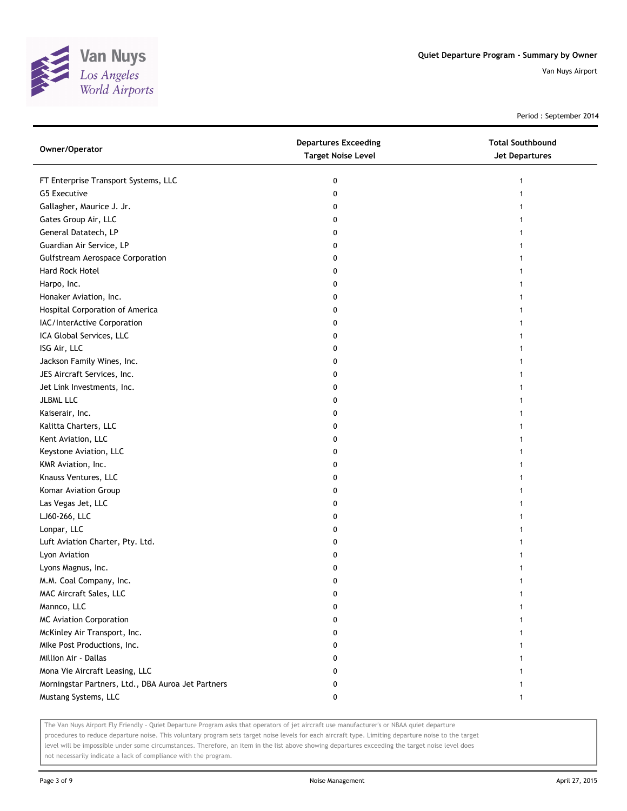

Period : September 2014

| Owner/Operator                                     | <b>Departures Exceeding</b><br><b>Target Noise Level</b> | <b>Total Southbound</b><br>Jet Departures |
|----------------------------------------------------|----------------------------------------------------------|-------------------------------------------|
| FT Enterprise Transport Systems, LLC               | 0                                                        |                                           |
| <b>G5 Executive</b>                                | 0                                                        |                                           |
| Gallagher, Maurice J. Jr.                          | 0                                                        |                                           |
| Gates Group Air, LLC                               | 0                                                        |                                           |
| General Datatech, LP                               | 0                                                        |                                           |
| Guardian Air Service, LP                           | 0                                                        |                                           |
| <b>Gulfstream Aerospace Corporation</b>            | 0                                                        |                                           |
| Hard Rock Hotel                                    | 0                                                        |                                           |
| Harpo, Inc.                                        | 0                                                        |                                           |
| Honaker Aviation, Inc.                             | 0                                                        |                                           |
| Hospital Corporation of America                    | 0                                                        |                                           |
| IAC/InterActive Corporation                        | 0                                                        |                                           |
| ICA Global Services, LLC                           | 0                                                        |                                           |
| ISG Air, LLC                                       | 0                                                        |                                           |
| Jackson Family Wines, Inc.                         | 0                                                        |                                           |
| JES Aircraft Services, Inc.                        | 0                                                        |                                           |
| Jet Link Investments, Inc.                         | 0                                                        |                                           |
| <b>JLBML LLC</b>                                   | 0                                                        |                                           |
| Kaiserair, Inc.                                    | 0                                                        |                                           |
| Kalitta Charters, LLC                              | 0                                                        |                                           |
| Kent Aviation, LLC                                 | 0                                                        |                                           |
| Keystone Aviation, LLC                             | 0                                                        |                                           |
| KMR Aviation, Inc.                                 | 0                                                        |                                           |
| Knauss Ventures, LLC                               | 0                                                        |                                           |
| Komar Aviation Group                               | 0                                                        |                                           |
| Las Vegas Jet, LLC                                 | 0                                                        |                                           |
| LJ60-266, LLC                                      | 0                                                        |                                           |
| Lonpar, LLC                                        | 0                                                        |                                           |
| Luft Aviation Charter, Pty. Ltd.                   | 0                                                        |                                           |
| Lyon Aviation                                      | 0                                                        |                                           |
| Lyons Magnus, Inc.                                 | 0                                                        |                                           |
| M.M. Coal Company, Inc.                            | 0                                                        |                                           |
| MAC Aircraft Sales, LLC                            | 0                                                        |                                           |
| Mannco, LLC                                        | 0                                                        |                                           |
| <b>MC Aviation Corporation</b>                     | 0                                                        |                                           |
| McKinley Air Transport, Inc.                       | 0                                                        |                                           |
| Mike Post Productions, Inc.                        | 0                                                        |                                           |
| Million Air - Dallas                               | 0                                                        |                                           |
| Mona Vie Aircraft Leasing, LLC                     | 0                                                        |                                           |
| Morningstar Partners, Ltd., DBA Auroa Jet Partners | 0                                                        |                                           |
| Mustang Systems, LLC                               | 0                                                        | 1                                         |

The Van Nuys Airport Fly Friendly - Quiet Departure Program asks that operators of jet aircraft use manufacturer's or NBAA quiet departure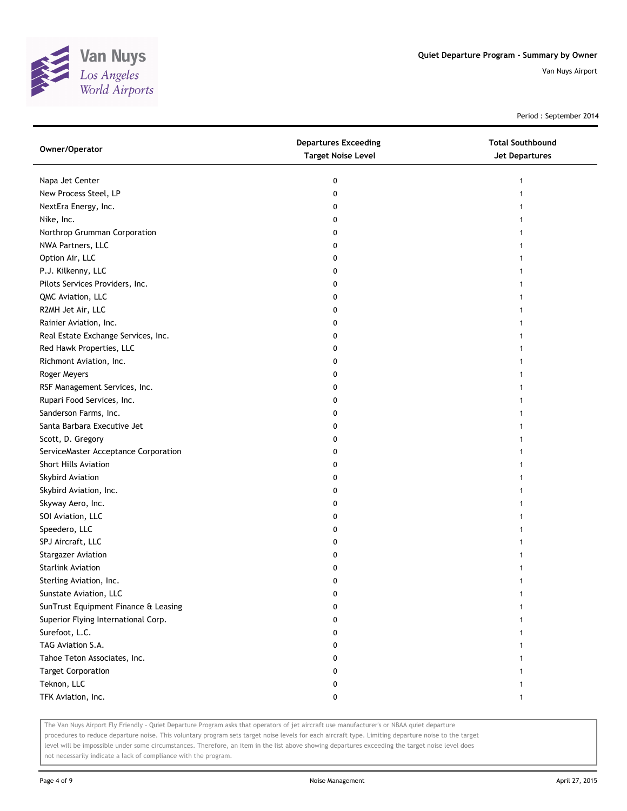

Period : September 2014

| Owner/Operator                       | <b>Departures Exceeding</b><br><b>Target Noise Level</b> | <b>Total Southbound</b><br>Jet Departures |
|--------------------------------------|----------------------------------------------------------|-------------------------------------------|
| Napa Jet Center                      | 0                                                        | 1                                         |
| New Process Steel, LP                | 0                                                        |                                           |
| NextEra Energy, Inc.                 | 0                                                        |                                           |
| Nike, Inc.                           | 0                                                        |                                           |
| Northrop Grumman Corporation         | 0                                                        |                                           |
| NWA Partners, LLC                    | 0                                                        |                                           |
| Option Air, LLC                      | 0                                                        |                                           |
| P.J. Kilkenny, LLC                   | 0                                                        |                                           |
| Pilots Services Providers, Inc.      | 0                                                        |                                           |
| QMC Aviation, LLC                    | 0                                                        |                                           |
| R2MH Jet Air, LLC                    | 0                                                        |                                           |
| Rainier Aviation, Inc.               | 0                                                        |                                           |
| Real Estate Exchange Services, Inc.  | 0                                                        |                                           |
| Red Hawk Properties, LLC             | 0                                                        |                                           |
| Richmont Aviation, Inc.              | 0                                                        |                                           |
| Roger Meyers                         | 0                                                        |                                           |
| RSF Management Services, Inc.        | 0                                                        | 1                                         |
| Rupari Food Services, Inc.           | 0                                                        |                                           |
| Sanderson Farms, Inc.                | 0                                                        |                                           |
| Santa Barbara Executive Jet          | 0                                                        |                                           |
| Scott, D. Gregory                    | 0                                                        |                                           |
| ServiceMaster Acceptance Corporation | 0                                                        |                                           |
| Short Hills Aviation                 | 0                                                        |                                           |
| Skybird Aviation                     | 0                                                        |                                           |
| Skybird Aviation, Inc.               | 0                                                        |                                           |
| Skyway Aero, Inc.                    | 0                                                        |                                           |
| SOI Aviation, LLC                    | 0                                                        |                                           |
| Speedero, LLC                        | 0                                                        |                                           |
| SPJ Aircraft, LLC                    | 0                                                        |                                           |
| <b>Stargazer Aviation</b>            | 0                                                        |                                           |
| <b>Starlink Aviation</b>             | 0                                                        |                                           |
| Sterling Aviation, Inc.              | 0                                                        |                                           |
| Sunstate Aviation, LLC               | 0                                                        |                                           |
| SunTrust Equipment Finance & Leasing | 0                                                        |                                           |
| Superior Flying International Corp.  | 0                                                        |                                           |
| Surefoot, L.C.                       | 0                                                        |                                           |
| TAG Aviation S.A.                    | 0                                                        |                                           |
| Tahoe Teton Associates, Inc.         | 0                                                        |                                           |
| <b>Target Corporation</b>            | 0                                                        |                                           |
| Teknon, LLC                          | 0                                                        |                                           |
| TFK Aviation, Inc.                   | 0                                                        |                                           |
|                                      |                                                          |                                           |

The Van Nuys Airport Fly Friendly - Quiet Departure Program asks that operators of jet aircraft use manufacturer's or NBAA quiet departure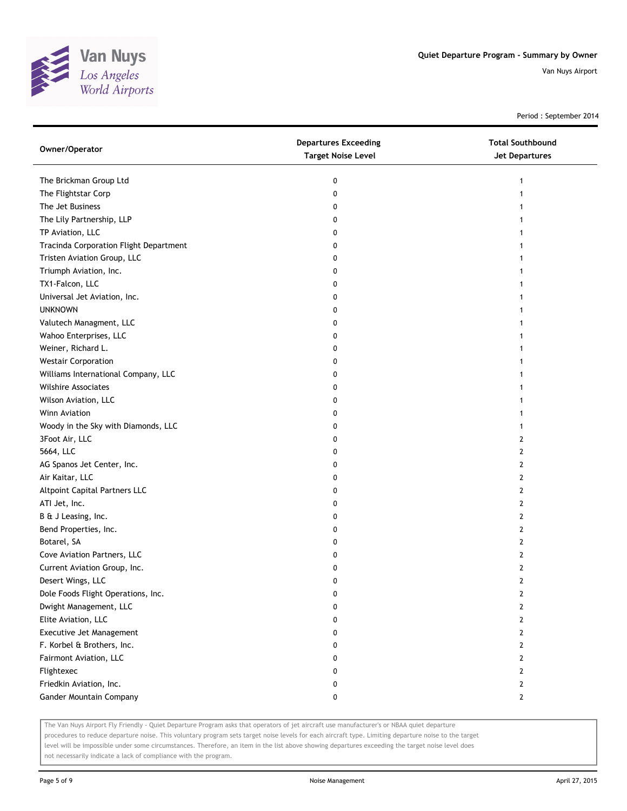

Period : September 2014

| Owner/Operator                         | <b>Departures Exceeding</b><br><b>Target Noise Level</b> | <b>Total Southbound</b><br><b>Jet Departures</b> |
|----------------------------------------|----------------------------------------------------------|--------------------------------------------------|
| The Brickman Group Ltd                 | 0                                                        | 1                                                |
| The Flightstar Corp                    | 0                                                        | 1                                                |
| The Jet Business                       | 0                                                        |                                                  |
| The Lily Partnership, LLP              | 0                                                        |                                                  |
| TP Aviation, LLC                       | 0                                                        | 1                                                |
| Tracinda Corporation Flight Department | 0                                                        | 1                                                |
| Tristen Aviation Group, LLC            | 0                                                        | 1                                                |
| Triumph Aviation, Inc.                 | 0                                                        | 1                                                |
| TX1-Falcon, LLC                        | 0                                                        |                                                  |
| Universal Jet Aviation, Inc.           | 0                                                        |                                                  |
| <b>UNKNOWN</b>                         | 0                                                        |                                                  |
| Valutech Managment, LLC                | 0                                                        |                                                  |
| Wahoo Enterprises, LLC                 | 0                                                        |                                                  |
| Weiner, Richard L.                     | 0                                                        |                                                  |
| <b>Westair Corporation</b>             | 0                                                        |                                                  |
| Williams International Company, LLC    | 0                                                        | 1                                                |
| <b>Wilshire Associates</b>             | 0                                                        | 1                                                |
| Wilson Aviation, LLC                   | 0                                                        | 1                                                |
| Winn Aviation                          | 0                                                        | 1                                                |
| Woody in the Sky with Diamonds, LLC    | 0                                                        | 1                                                |
| 3Foot Air, LLC                         | 0                                                        | 2                                                |
| 5664, LLC                              | 0                                                        | 2                                                |
| AG Spanos Jet Center, Inc.             | 0                                                        | $\overline{2}$                                   |
| Air Kaitar, LLC                        | 0                                                        | 2                                                |
| Altpoint Capital Partners LLC          | 0                                                        | $\mathbf{2}$                                     |
| ATI Jet, Inc.                          | 0                                                        | 2                                                |
| B & J Leasing, Inc.                    | 0                                                        | 2                                                |
| Bend Properties, Inc.                  | 0                                                        | 2                                                |
| Botarel, SA                            | 0                                                        | 2                                                |
| Cove Aviation Partners, LLC            | 0                                                        | $\overline{2}$                                   |
| Current Aviation Group, Inc.           | 0                                                        | 2                                                |
| Desert Wings, LLC                      | 0                                                        | $\overline{2}$                                   |
| Dole Foods Flight Operations, Inc.     | 0                                                        | 2                                                |
| Dwight Management, LLC                 | 0                                                        | $\mathbf{2}$                                     |
| Elite Aviation, LLC                    | 0                                                        | $\mathbf{2}$                                     |
| Executive Jet Management               | 0                                                        | $\mathbf{2}$                                     |
| F. Korbel & Brothers, Inc.             | 0                                                        | $\mathbf{2}$                                     |
| Fairmont Aviation, LLC                 | 0                                                        | $\mathbf{2}$                                     |
| Flightexec                             | 0                                                        | $\mathbf{2}$                                     |
| Friedkin Aviation, Inc.                | 0                                                        | $\mathbf{2}$                                     |
| Gander Mountain Company                | 0                                                        | $\mathbf{2}$                                     |

The Van Nuys Airport Fly Friendly - Quiet Departure Program asks that operators of jet aircraft use manufacturer's or NBAA quiet departure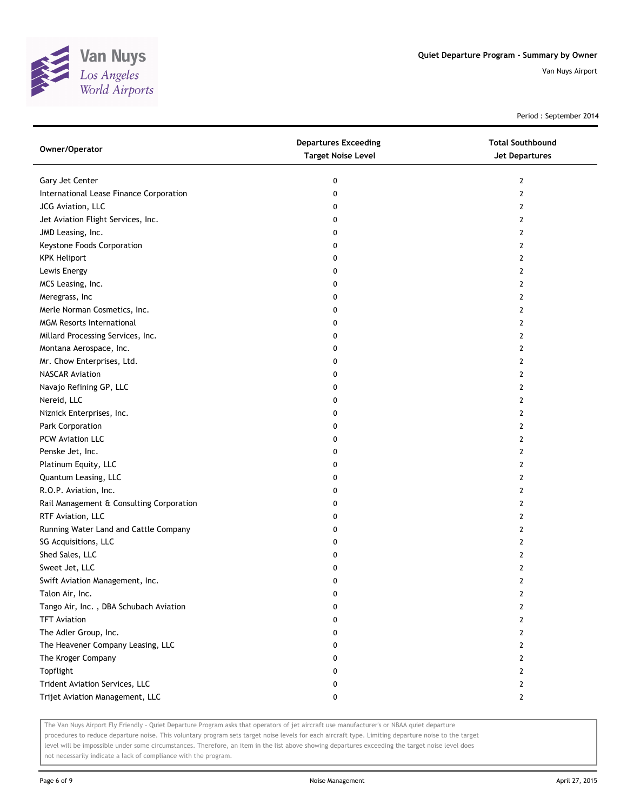

Period : September 2014

| Owner/Operator                           | <b>Departures Exceeding</b><br><b>Target Noise Level</b> | <b>Total Southbound</b><br>Jet Departures |
|------------------------------------------|----------------------------------------------------------|-------------------------------------------|
| Gary Jet Center                          | 0                                                        | $\mathbf{2}$                              |
| International Lease Finance Corporation  | 0                                                        | $\mathbf{2}$                              |
| JCG Aviation, LLC                        | 0                                                        | $\mathbf{2}$                              |
| Jet Aviation Flight Services, Inc.       | 0                                                        | $\mathbf{2}$                              |
| JMD Leasing, Inc.                        | 0                                                        | 2                                         |
| Keystone Foods Corporation               | 0                                                        | 2                                         |
| <b>KPK Heliport</b>                      | 0                                                        | 2                                         |
| Lewis Energy                             | 0                                                        | 2                                         |
| MCS Leasing, Inc.                        | 0                                                        | 2                                         |
| Meregrass, Inc                           | 0                                                        | 2                                         |
| Merle Norman Cosmetics, Inc.             | 0                                                        | $\overline{2}$                            |
| <b>MGM Resorts International</b>         | 0                                                        | $\mathbf{2}$                              |
| Millard Processing Services, Inc.        | 0                                                        | $\overline{2}$                            |
| Montana Aerospace, Inc.                  | 0                                                        | $\overline{2}$                            |
| Mr. Chow Enterprises, Ltd.               | 0                                                        | $\mathbf{2}$                              |
| <b>NASCAR Aviation</b>                   | 0                                                        | $\mathbf{2}$                              |
| Navajo Refining GP, LLC                  | 0                                                        | $\overline{2}$                            |
| Nereid, LLC                              | 0                                                        | 2                                         |
| Niznick Enterprises, Inc.                | 0                                                        | 2                                         |
| Park Corporation                         | 0                                                        | 2                                         |
| PCW Aviation LLC                         | 0                                                        | 2                                         |
| Penske Jet, Inc.                         | 0                                                        | $\overline{2}$                            |
| Platinum Equity, LLC                     | 0                                                        | 2                                         |
| Quantum Leasing, LLC                     | 0                                                        | $\overline{2}$                            |
| R.O.P. Aviation, Inc.                    | 0                                                        | 2                                         |
| Rail Management & Consulting Corporation | 0                                                        | 2                                         |
| RTF Aviation, LLC                        | 0                                                        | $\overline{2}$                            |
| Running Water Land and Cattle Company    | 0                                                        | 2                                         |
| SG Acquisitions, LLC                     | 0                                                        | $\overline{2}$                            |
| Shed Sales, LLC                          | 0                                                        | $\overline{2}$                            |
| Sweet Jet, LLC                           | 0                                                        | $\mathbf{2}$                              |
| Swift Aviation Management, Inc.          | 0                                                        | $\overline{2}$                            |
| Talon Air, Inc.                          | o                                                        | 2                                         |
| Tango Air, Inc., DBA Schubach Aviation   | 0                                                        | 2                                         |
| <b>TFT Aviation</b>                      | 0                                                        | 2                                         |
| The Adler Group, Inc.                    | 0                                                        | 2                                         |
| The Heavener Company Leasing, LLC        | 0                                                        | $\mathbf{2}$                              |
| The Kroger Company                       | 0                                                        | 2                                         |
| Topflight                                | 0                                                        | 2                                         |
| Trident Aviation Services, LLC           | 0                                                        | 2                                         |
| Trijet Aviation Management, LLC          | 0                                                        | $\mathbf{2}$                              |

The Van Nuys Airport Fly Friendly - Quiet Departure Program asks that operators of jet aircraft use manufacturer's or NBAA quiet departure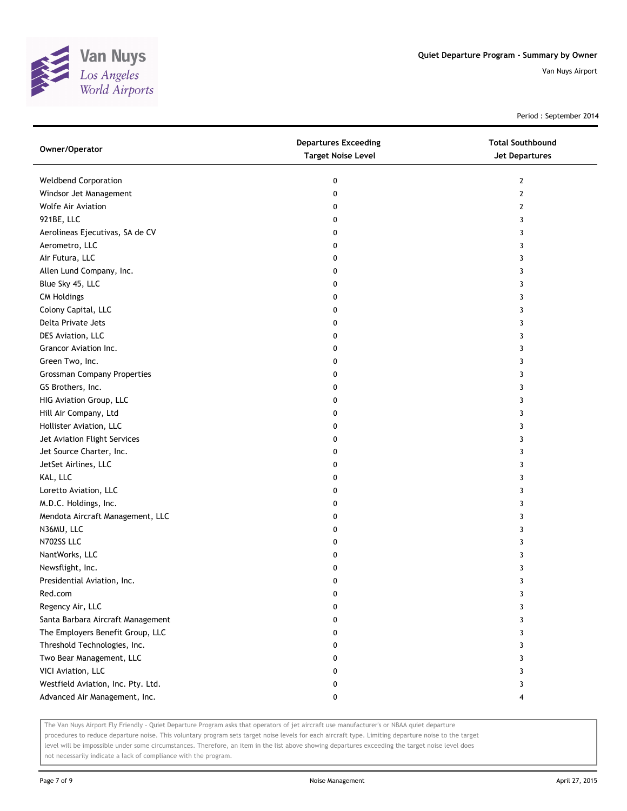

Period : September 2014

| Owner/Operator                     | <b>Departures Exceeding</b><br><b>Target Noise Level</b> | <b>Total Southbound</b><br><b>Jet Departures</b> |
|------------------------------------|----------------------------------------------------------|--------------------------------------------------|
| <b>Weldbend Corporation</b>        | 0                                                        | 2                                                |
| Windsor Jet Management             | 0                                                        | $\mathbf{2}$                                     |
| <b>Wolfe Air Aviation</b>          | 0                                                        | 2                                                |
| 921BE, LLC                         | 0                                                        | 3                                                |
| Aerolineas Ejecutivas, SA de CV    | 0                                                        | 3                                                |
| Aerometro, LLC                     | 0                                                        | 3                                                |
| Air Futura, LLC                    | 0                                                        | 3                                                |
| Allen Lund Company, Inc.           | 0                                                        | 3                                                |
| Blue Sky 45, LLC                   | 0                                                        | 3                                                |
| <b>CM Holdings</b>                 | 0                                                        | 3                                                |
| Colony Capital, LLC                | 0                                                        | 3                                                |
| Delta Private Jets                 | 0                                                        | 3                                                |
| DES Aviation, LLC                  | 0                                                        | 3                                                |
| Grancor Aviation Inc.              | 0                                                        | 3                                                |
| Green Two, Inc.                    | 0                                                        | 3                                                |
| <b>Grossman Company Properties</b> | 0                                                        | 3                                                |
| GS Brothers, Inc.                  | 0                                                        | 3                                                |
| HIG Aviation Group, LLC            | 0                                                        | 3                                                |
| Hill Air Company, Ltd              | 0                                                        | 3                                                |
| Hollister Aviation, LLC            | 0                                                        | 3                                                |
| Jet Aviation Flight Services       | 0                                                        | 3                                                |
| Jet Source Charter, Inc.           | 0                                                        | 3                                                |
| JetSet Airlines, LLC               | 0                                                        | 3                                                |
| KAL, LLC                           | 0                                                        | 3                                                |
| Loretto Aviation, LLC              | 0                                                        | 3                                                |
| M.D.C. Holdings, Inc.              | 0                                                        | 3                                                |
| Mendota Aircraft Management, LLC   | 0                                                        | 3                                                |
| N36MU, LLC                         | 0                                                        | 3                                                |
| N702SS LLC                         | 0                                                        | 3                                                |
| NantWorks, LLC                     | 0                                                        | 3                                                |
| Newsflight, Inc.                   | 0                                                        | 3                                                |
| Presidential Aviation, Inc.        | 0                                                        | 3                                                |
| Red.com                            | U                                                        | 3                                                |
| Regency Air, LLC                   | 0                                                        | 3                                                |
| Santa Barbara Aircraft Management  | 0                                                        | 3                                                |
| The Employers Benefit Group, LLC   | 0                                                        | 3                                                |
| Threshold Technologies, Inc.       | 0                                                        | 3                                                |
| Two Bear Management, LLC           | 0                                                        | 3                                                |
| VICI Aviation, LLC                 | 0                                                        | 3                                                |
| Westfield Aviation, Inc. Pty. Ltd. | 0                                                        | 3                                                |
| Advanced Air Management, Inc.      | 0                                                        | 4                                                |

The Van Nuys Airport Fly Friendly - Quiet Departure Program asks that operators of jet aircraft use manufacturer's or NBAA quiet departure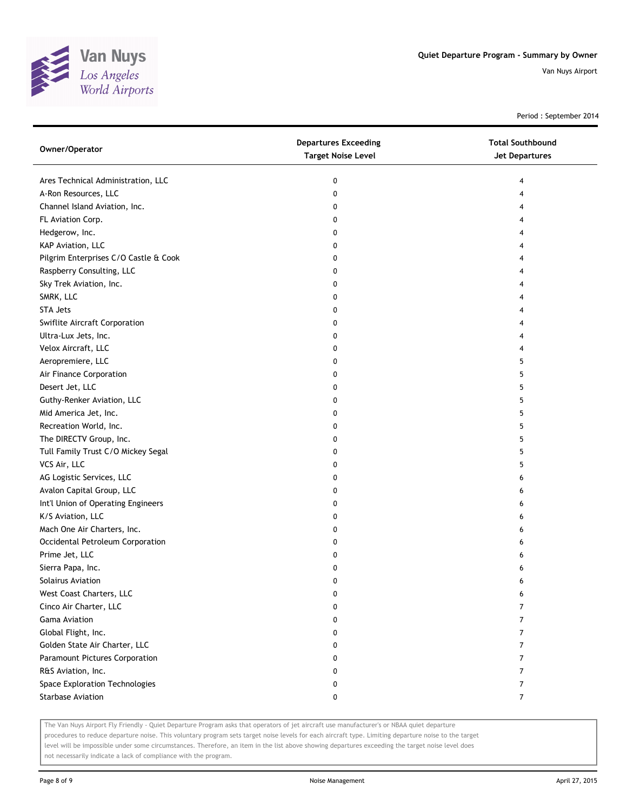

Period : September 2014

| Owner/Operator                        | <b>Departures Exceeding</b><br><b>Target Noise Level</b> | <b>Total Southbound</b><br>Jet Departures |
|---------------------------------------|----------------------------------------------------------|-------------------------------------------|
| Ares Technical Administration, LLC    | 0                                                        | 4                                         |
| A-Ron Resources, LLC                  | 0                                                        | 4                                         |
| Channel Island Aviation, Inc.         | 0                                                        | 4                                         |
| FL Aviation Corp.                     | 0                                                        | 4                                         |
| Hedgerow, Inc.                        | 0                                                        | 4                                         |
| KAP Aviation, LLC                     | 0                                                        | 4                                         |
| Pilgrim Enterprises C/O Castle & Cook | 0                                                        | 4                                         |
| Raspberry Consulting, LLC             | 0                                                        | 4                                         |
| Sky Trek Aviation, Inc.               | 0                                                        | 4                                         |
| SMRK, LLC                             | 0                                                        | 4                                         |
| <b>STA Jets</b>                       | 0                                                        |                                           |
| Swiflite Aircraft Corporation         | 0                                                        | 4                                         |
| Ultra-Lux Jets, Inc.                  | 0                                                        | 4                                         |
| Velox Aircraft, LLC                   | 0                                                        | 4                                         |
| Aeropremiere, LLC                     | 0                                                        | 5                                         |
| Air Finance Corporation               | 0                                                        | 5                                         |
| Desert Jet, LLC                       | 0                                                        | 5                                         |
| Guthy-Renker Aviation, LLC            | 0                                                        | 5                                         |
| Mid America Jet, Inc.                 | 0                                                        | 5                                         |
| Recreation World, Inc.                | 0                                                        | 5                                         |
| The DIRECTV Group, Inc.               | 0                                                        | 5                                         |
| Tull Family Trust C/O Mickey Segal    | 0                                                        | 5                                         |
| VCS Air, LLC                          | 0                                                        | 5                                         |
| AG Logistic Services, LLC             | 0                                                        | 6                                         |
| Avalon Capital Group, LLC             | 0                                                        | 6                                         |
| Int'l Union of Operating Engineers    | 0                                                        | 6                                         |
| K/S Aviation, LLC                     | 0                                                        | 6                                         |
| Mach One Air Charters, Inc.           | 0                                                        | 6                                         |
| Occidental Petroleum Corporation      | 0                                                        | 6                                         |
| Prime Jet, LLC                        | 0                                                        | 6                                         |
| Sierra Papa, Inc.                     | 0                                                        | 6                                         |
| Solairus Aviation                     | 0                                                        | 6                                         |
| West Coast Charters, LLC              | 0                                                        | 6                                         |
| Cinco Air Charter, LLC                | 0                                                        | 7                                         |
| <b>Gama Aviation</b>                  | 0                                                        | 7                                         |
| Global Flight, Inc.                   | 0                                                        | 7                                         |
| Golden State Air Charter, LLC         | 0                                                        | 7                                         |
| Paramount Pictures Corporation        | 0                                                        | 7                                         |
| R&S Aviation, Inc.                    | 0                                                        | 7                                         |
| Space Exploration Technologies        | 0                                                        | 7                                         |
| <b>Starbase Aviation</b>              | 0                                                        | $\overline{7}$                            |

The Van Nuys Airport Fly Friendly - Quiet Departure Program asks that operators of jet aircraft use manufacturer's or NBAA quiet departure